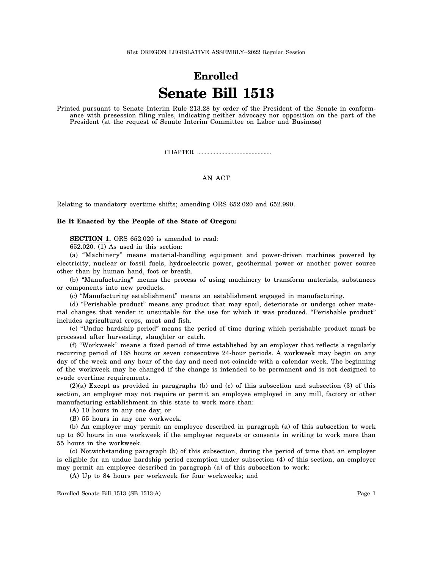## **Enrolled Senate Bill 1513**

Printed pursuant to Senate Interim Rule 213.28 by order of the President of the Senate in conformance with presession filing rules, indicating neither advocacy nor opposition on the part of the President (at the request of Senate Interim Committee on Labor and Business)

CHAPTER .................................................

## AN ACT

Relating to mandatory overtime shifts; amending ORS 652.020 and 652.990.

## **Be It Enacted by the People of the State of Oregon:**

**SECTION 1.** ORS 652.020 is amended to read:

652.020. (1) As used in this section:

(a) "Machinery" means material-handling equipment and power-driven machines powered by electricity, nuclear or fossil fuels, hydroelectric power, geothermal power or another power source other than by human hand, foot or breath.

(b) "Manufacturing" means the process of using machinery to transform materials, substances or components into new products.

(c) "Manufacturing establishment" means an establishment engaged in manufacturing.

(d) "Perishable product" means any product that may spoil, deteriorate or undergo other material changes that render it unsuitable for the use for which it was produced. "Perishable product" includes agricultural crops, meat and fish.

(e) "Undue hardship period" means the period of time during which perishable product must be processed after harvesting, slaughter or catch.

(f) "Workweek" means a fixed period of time established by an employer that reflects a regularly recurring period of 168 hours or seven consecutive 24-hour periods. A workweek may begin on any day of the week and any hour of the day and need not coincide with a calendar week. The beginning of the workweek may be changed if the change is intended to be permanent and is not designed to evade overtime requirements.

(2)(a) Except as provided in paragraphs (b) and (c) of this subsection and subsection (3) of this section, an employer may not require or permit an employee employed in any mill, factory or other manufacturing establishment in this state to work more than:

(A) 10 hours in any one day; or

(B) 55 hours in any one workweek.

(b) An employer may permit an employee described in paragraph (a) of this subsection to work up to 60 hours in one workweek if the employee requests or consents in writing to work more than 55 hours in the workweek.

(c) Notwithstanding paragraph (b) of this subsection, during the period of time that an employer is eligible for an undue hardship period exemption under subsection (4) of this section, an employer may permit an employee described in paragraph (a) of this subsection to work:

(A) Up to 84 hours per workweek for four workweeks; and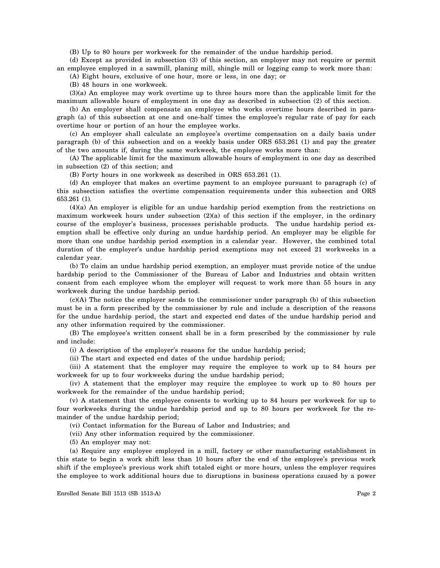(B) Up to 80 hours per workweek for the remainder of the undue hardship period.

(d) Except as provided in subsection (3) of this section, an employer may not require or permit an employee employed in a sawmill, planing mill, shingle mill or logging camp to work more than:

(A) Eight hours, exclusive of one hour, more or less, in one day; or

(B) 48 hours in one workweek.

(3)(a) An employee may work overtime up to three hours more than the applicable limit for the maximum allowable hours of employment in one day as described in subsection (2) of this section.

(b) An employer shall compensate an employee who works overtime hours described in paragraph (a) of this subsection at one and one-half times the employee's regular rate of pay for each overtime hour or portion of an hour the employee works.

(c) An employer shall calculate an employee's overtime compensation on a daily basis under paragraph (b) of this subsection and on a weekly basis under ORS 653.261 (1) and pay the greater of the two amounts if, during the same workweek, the employee works more than:

(A) The applicable limit for the maximum allowable hours of employment in one day as described in subsection (2) of this section; and

(B) Forty hours in one workweek as described in ORS 653.261 (1).

(d) An employer that makes an overtime payment to an employee pursuant to paragraph (c) of this subsection satisfies the overtime compensation requirements under this subsection and ORS 653.261 (1).

(4)(a) An employer is eligible for an undue hardship period exemption from the restrictions on maximum workweek hours under subsection  $(2)(a)$  of this section if the employer, in the ordinary course of the employer's business, processes perishable products. The undue hardship period exemption shall be effective only during an undue hardship period. An employer may be eligible for more than one undue hardship period exemption in a calendar year. However, the combined total duration of the employer's undue hardship period exemptions may not exceed 21 workweeks in a calendar year.

(b) To claim an undue hardship period exemption, an employer must provide notice of the undue hardship period to the Commissioner of the Bureau of Labor and Industries and obtain written consent from each employee whom the employer will request to work more than 55 hours in any workweek during the undue hardship period.

(c)(A) The notice the employer sends to the commissioner under paragraph (b) of this subsection must be in a form prescribed by the commissioner by rule and include a description of the reasons for the undue hardship period, the start and expected end dates of the undue hardship period and any other information required by the commissioner.

(B) The employee's written consent shall be in a form prescribed by the commissioner by rule and include:

(i) A description of the employer's reasons for the undue hardship period;

(ii) The start and expected end dates of the undue hardship period;

(iii) A statement that the employer may require the employee to work up to 84 hours per workweek for up to four workweeks during the undue hardship period;

(iv) A statement that the employer may require the employee to work up to 80 hours per workweek for the remainder of the undue hardship period;

(v) A statement that the employee consents to working up to 84 hours per workweek for up to four workweeks during the undue hardship period and up to 80 hours per workweek for the remainder of the undue hardship period;

(vi) Contact information for the Bureau of Labor and Industries; and

(vii) Any other information required by the commissioner.

(5) An employer may not:

(a) Require any employee employed in a mill, factory or other manufacturing establishment in this state to begin a work shift less than 10 hours after the end of the employee's previous work shift if the employee's previous work shift totaled eight or more hours, unless the employer requires the employee to work additional hours due to disruptions in business operations caused by a power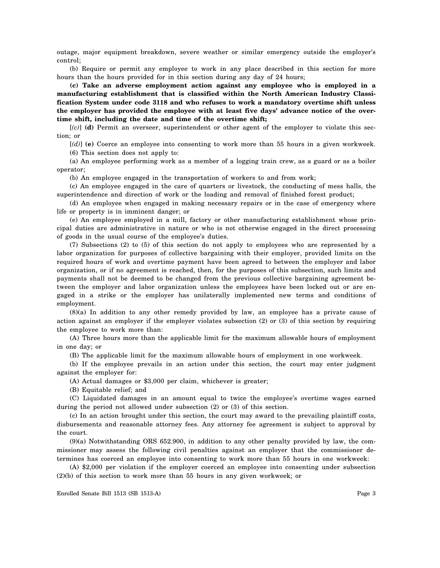outage, major equipment breakdown, severe weather or similar emergency outside the employer's control;

(b) Require or permit any employee to work in any place described in this section for more hours than the hours provided for in this section during any day of 24 hours;

**(c) Take an adverse employment action against any employee who is employed in a manufacturing establishment that is classified within the North American Industry Classification System under code 3118 and who refuses to work a mandatory overtime shift unless the employer has provided the employee with at least five days' advance notice of the overtime shift, including the date and time of the overtime shift;**

[*(c)*] **(d)** Permit an overseer, superintendent or other agent of the employer to violate this section; or

[*(d)*] **(e)** Coerce an employee into consenting to work more than 55 hours in a given workweek. (6) This section does not apply to:

(a) An employee performing work as a member of a logging train crew, as a guard or as a boiler operator;

(b) An employee engaged in the transportation of workers to and from work;

(c) An employee engaged in the care of quarters or livestock, the conducting of mess halls, the superintendence and direction of work or the loading and removal of finished forest product;

(d) An employee when engaged in making necessary repairs or in the case of emergency where life or property is in imminent danger; or

(e) An employee employed in a mill, factory or other manufacturing establishment whose principal duties are administrative in nature or who is not otherwise engaged in the direct processing of goods in the usual course of the employee's duties.

(7) Subsections (2) to (5) of this section do not apply to employees who are represented by a labor organization for purposes of collective bargaining with their employer, provided limits on the required hours of work and overtime payment have been agreed to between the employer and labor organization, or if no agreement is reached, then, for the purposes of this subsection, such limits and payments shall not be deemed to be changed from the previous collective bargaining agreement between the employer and labor organization unless the employees have been locked out or are engaged in a strike or the employer has unilaterally implemented new terms and conditions of employment.

(8)(a) In addition to any other remedy provided by law, an employee has a private cause of action against an employer if the employer violates subsection (2) or (3) of this section by requiring the employee to work more than:

(A) Three hours more than the applicable limit for the maximum allowable hours of employment in one day; or

(B) The applicable limit for the maximum allowable hours of employment in one workweek.

(b) If the employee prevails in an action under this section, the court may enter judgment against the employer for:

(A) Actual damages or \$3,000 per claim, whichever is greater;

(B) Equitable relief; and

(C) Liquidated damages in an amount equal to twice the employee's overtime wages earned during the period not allowed under subsection (2) or (3) of this section.

(c) In an action brought under this section, the court may award to the prevailing plaintiff costs, disbursements and reasonable attorney fees. Any attorney fee agreement is subject to approval by the court.

(9)(a) Notwithstanding ORS 652.900, in addition to any other penalty provided by law, the commissioner may assess the following civil penalties against an employer that the commissioner determines has coerced an employee into consenting to work more than 55 hours in one workweek:

(A) \$2,000 per violation if the employer coerced an employee into consenting under subsection (2)(b) of this section to work more than 55 hours in any given workweek; or